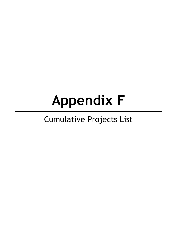## **Appendix F**

## Cumulative Projects List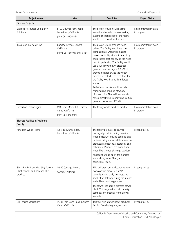| Project Name                                                                            | Location                                                               | Description                                                                                                                                                                                                                                                                                                                                                                                                                                                                                                                                                                                                                                          | <b>Project Status</b>                  |
|-----------------------------------------------------------------------------------------|------------------------------------------------------------------------|------------------------------------------------------------------------------------------------------------------------------------------------------------------------------------------------------------------------------------------------------------------------------------------------------------------------------------------------------------------------------------------------------------------------------------------------------------------------------------------------------------------------------------------------------------------------------------------------------------------------------------------------------|----------------------------------------|
| <b>Biomass Projects</b>                                                                 |                                                                        |                                                                                                                                                                                                                                                                                                                                                                                                                                                                                                                                                                                                                                                      |                                        |
| Wallowa Resources Community<br>Solutions                                                | 5400 Obyrnes Ferry Road,<br>Jamestown, California<br>(APN 063-070-086) | The project would include a small<br>sawmill and woody biomass heating<br>system. The feedstock for the facility<br>would come from forest sources.                                                                                                                                                                                                                                                                                                                                                                                                                                                                                                  | Environmental review is<br>in progress |
| Tuolumne BioEnergy, Inc.                                                                | Camage Avenue, Sonora,<br>California<br>(APNs 061-150-047 and -046)    | The project would produce wood<br>pellets. The facility would use direct<br>combustion of woody biomass to<br>power the facility with both electricity<br>and process heat (for drying the wood<br>prior to pelletizing. The facility would<br>use a 400 kilowatt (KW) electrical<br>generator and salvage 2,000 KW of<br>thermal heat for drying the woody<br>biomass feedstock. The feedstock for<br>the facility would come from forest<br>sources.<br>Activities at the site would include<br>chipping and grinding of woody<br>biomass chips. The facility would also<br>have a diesel fired standby and startup<br>generator of around 100 KW. | Environmental review is<br>in progress |
| Biocarbon Technologies                                                                  | 8933 State Route 120, Chinese<br>Camp, California<br>(APN 064-340-007) | The facility would produce biochar.                                                                                                                                                                                                                                                                                                                                                                                                                                                                                                                                                                                                                  | Environmental review is<br>in progress |
| <b>Biomass Facilities in Tuolumne</b><br>County                                         |                                                                        |                                                                                                                                                                                                                                                                                                                                                                                                                                                                                                                                                                                                                                                      |                                        |
| American Wood Fibers                                                                    | 12015 La Grange Road,<br>Jamestown, California                         | The facility produces consumer<br>packaged goods including premium<br>wood pellet fuel, equine bedding, and<br>professional grade wood flour (used in<br>products like decking, absorbents and<br>adhesives). Products are made from<br>wood fibers, wood shavings, sawdust,<br>bagged shavings, fibers for biomass,<br>wood chips, paper fibers, and<br>agricultural fibers.                                                                                                                                                                                                                                                                        | Existing facility                      |
| Sierra Pacific Industries (SPI) Sonora<br>Plant (sawmill and bark and chip<br>products) | 14980 Camage Avenue<br>Sonora, California                              | This facility produces decorative bark<br>from conifers processed at SPI<br>sawmills. Chips, bark, shavings, and<br>sawdust are leftover during the lumber<br>and millwork making process.<br>The sawmill includes a biomass power<br>plant (10.9 megawatts) that primarily<br>combusts by-products from its own<br>sawmills.                                                                                                                                                                                                                                                                                                                        | Existing facility                      |
| SPI Fencing Operations                                                                  | 14333 Perri Cone Road, Chinese<br>Camp, California                     | This facility is a sawmill that produces<br>fencing from high grade, second-                                                                                                                                                                                                                                                                                                                                                                                                                                                                                                                                                                         | Existing facility                      |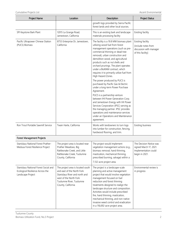| Project Name                                                                                   | Location                                                                                                                                                                      | Description                                                                                                                                                                                                                                                                                                                                                                                                                                                                                                                                                                                                                                                                                                                                                                                                                          | <b>Project Status</b>                                                                           |
|------------------------------------------------------------------------------------------------|-------------------------------------------------------------------------------------------------------------------------------------------------------------------------------|--------------------------------------------------------------------------------------------------------------------------------------------------------------------------------------------------------------------------------------------------------------------------------------------------------------------------------------------------------------------------------------------------------------------------------------------------------------------------------------------------------------------------------------------------------------------------------------------------------------------------------------------------------------------------------------------------------------------------------------------------------------------------------------------------------------------------------------|-------------------------------------------------------------------------------------------------|
|                                                                                                |                                                                                                                                                                               | growth logs provided by Sierra Pacific<br>forest lands and other local sources.                                                                                                                                                                                                                                                                                                                                                                                                                                                                                                                                                                                                                                                                                                                                                      |                                                                                                 |
| SPI Keystone Bark Plant                                                                        | 12015 La Grange Road,<br>Jamestown, California                                                                                                                                | This is an existing bark and landscape<br>materials processing facility                                                                                                                                                                                                                                                                                                                                                                                                                                                                                                                                                                                                                                                                                                                                                              | Existing facility                                                                               |
| Pacific Ultrapower Chinese Station<br>(PUCS) Biomass                                           | 8755 Enterprise Dr, Jamestown,<br>California                                                                                                                                  | The facility is a 19.8 MW biomass plant<br>utilizing wood fuel from forest<br>management operations (such as pre-<br>commercial thinning or dead tree<br>removal), urban construction and<br>demolition wood, and agricultural<br>products such as nut shells and<br>orchard prunings. The plant operates<br>under a BioRAM contract, which<br>requires it to primarily utilize fuel from<br>High Hazard Zones.<br>The power produced by PUCS is<br>purchased by Pacific Gas & Electric<br>under a long-term Power Purchase<br>Agreement.<br>PUCS is a partnership venture<br>between IHI Power Generation Corp.<br>and Jamestown Energy with IHI Power<br>Services Corporation (IPSC) serving as<br>the managing partner. IPSC provides<br>operations and maintenance services<br>under an Operations and Maintenance<br>agreement. | Existing facility<br><b>linclude</b> notes from<br>discussion with manager<br>of this facility] |
| Ron Trout Portable Sawmill Service                                                             | Twain Harte, California                                                                                                                                                       | Works with landowners to turn logs<br>into lumber for construction, fencing,<br>hardwood flooring, and trim.                                                                                                                                                                                                                                                                                                                                                                                                                                                                                                                                                                                                                                                                                                                         | Existing business                                                                               |
| <b>Forest Management Projects</b>                                                              |                                                                                                                                                                               |                                                                                                                                                                                                                                                                                                                                                                                                                                                                                                                                                                                                                                                                                                                                                                                                                                      |                                                                                                 |
| Stanislaus National Forest Prather-<br>Medusa Forest Resilience Project                        | The project area is located near<br>Prather Meadows, Big<br>Rattlesnake Creek, and Little<br>Rattlesnake Creek, Tuolumne<br>County, California                                | The project would implement<br>vegetation management actions (e.g.,<br>biomass removal, hand thinning,<br>mastication, mechanical thinning,<br>prescribed burning, salvage) within a<br>7,132-acre project area.                                                                                                                                                                                                                                                                                                                                                                                                                                                                                                                                                                                                                     | The Decision Notice was<br>signed March 17, 2021.<br>Implementation could<br>begin in 2021.     |
| Stanislaus National Forest Social and<br>Ecological Resilience Across the<br>Landscape Project | The project area is located south<br>and east of the North Fork<br>Stanislaus River and north and<br>west of the North Fork<br>Tuolumne River, Tuolumne<br>County, California | The project is a landscape-scale<br>planning and active management<br>project that would involve vegetation<br>management focused on fuel<br>reduction and forest thinning<br>treatments designed to realign the<br>landscape structure and composition.<br>Activities would include prescribed<br>fire, hand thinning, mastication,<br>mechanical thinning, and non-native<br>invasive weed control and eradication<br>in a 116,692-acre project area.                                                                                                                                                                                                                                                                                                                                                                              | Environmental review is<br>in progress                                                          |